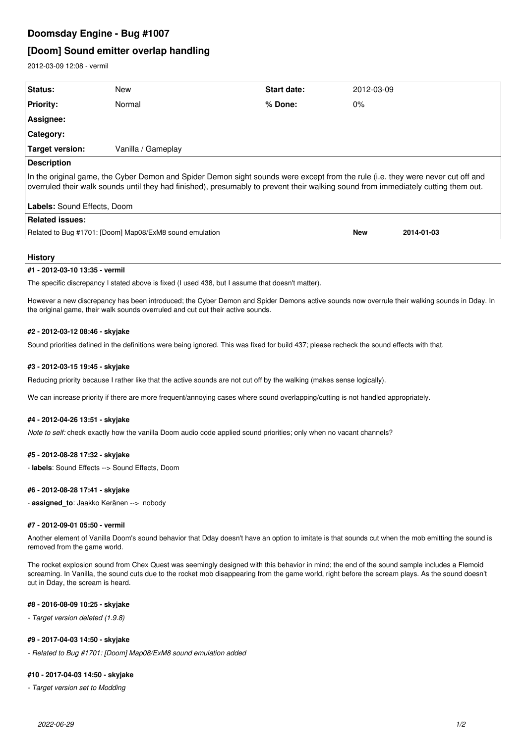## **Doomsday Engine - Bug #1007**

# **[Doom] Sound emitter overlap handling**

2012-03-09 12:08 - vermil

| Status:                                                                                                                                                                                                                                                               | New                | <b>Start date:</b> | 2012-03-09 |            |
|-----------------------------------------------------------------------------------------------------------------------------------------------------------------------------------------------------------------------------------------------------------------------|--------------------|--------------------|------------|------------|
| <b>Priority:</b>                                                                                                                                                                                                                                                      | Normal             | % Done:            | $0\%$      |            |
| Assignee:                                                                                                                                                                                                                                                             |                    |                    |            |            |
| <b>Category:</b>                                                                                                                                                                                                                                                      |                    |                    |            |            |
| <b>Target version:</b>                                                                                                                                                                                                                                                | Vanilla / Gameplay |                    |            |            |
| <b>Description</b>                                                                                                                                                                                                                                                    |                    |                    |            |            |
| In the original game, the Cyber Demon and Spider Demon sight sounds were except from the rule (i.e. they were never cut off and<br>overruled their walk sounds until they had finished), presumably to prevent their walking sound from immediately cutting them out. |                    |                    |            |            |
| Labels: Sound Effects, Doom                                                                                                                                                                                                                                           |                    |                    |            |            |
| <b>Related issues:</b>                                                                                                                                                                                                                                                |                    |                    |            |            |
| Related to Bug #1701: [Doom] Map08/ExM8 sound emulation                                                                                                                                                                                                               |                    |                    | <b>New</b> | 2014-01-03 |
|                                                                                                                                                                                                                                                                       |                    |                    |            |            |

#### **History**

#### **#1 - 2012-03-10 13:35 - vermil**

The specific discrepancy I stated above is fixed (I used 438, but I assume that doesn't matter).

However a new discrepancy has been introduced; the Cyber Demon and Spider Demons active sounds now overrule their walking sounds in Dday. In the original game, their walk sounds overruled and cut out their active sounds.

#### **#2 - 2012-03-12 08:46 - skyjake**

Sound priorities defined in the definitions were being ignored. This was fixed for build 437; please recheck the sound effects with that.

#### **#3 - 2012-03-15 19:45 - skyjake**

Reducing priority because I rather like that the active sounds are not cut off by the walking (makes sense logically).

We can increase priority if there are more frequent/annoying cases where sound overlapping/cutting is not handled appropriately.

#### **#4 - 2012-04-26 13:51 - skyjake**

*Note to self:* check exactly how the vanilla Doom audio code applied sound priorities; only when no vacant channels?

#### **#5 - 2012-08-28 17:32 - skyjake**

- **labels**: Sound Effects --> Sound Effects, Doom

#### **#6 - 2012-08-28 17:41 - skyjake**

- **assigned\_to**: Jaakko Keränen --> nobody

### **#7 - 2012-09-01 05:50 - vermil**

Another element of Vanilla Doom's sound behavior that Dday doesn't have an option to imitate is that sounds cut when the mob emitting the sound is removed from the game world.

The rocket explosion sound from Chex Quest was seemingly designed with this behavior in mind; the end of the sound sample includes a Flemoid screaming. In Vanilla, the sound cuts due to the rocket mob disappearing from the game world, right before the scream plays. As the sound doesn't cut in Dday, the scream is heard.

#### **#8 - 2016-08-09 10:25 - skyjake**

*- Target version deleted (1.9.8)*

#### **#9 - 2017-04-03 14:50 - skyjake**

*- Related to Bug #1701: [Doom] Map08/ExM8 sound emulation added*

#### **#10 - 2017-04-03 14:50 - skyjake**

*- Target version set to Modding*